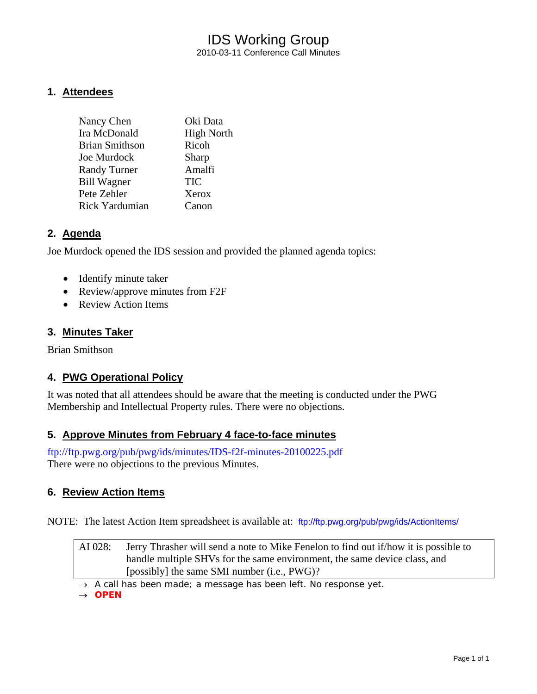# IDS Working Group 2010-03-11 Conference Call Minutes

### **1. Attendees**

| Oki Data          |
|-------------------|
| <b>High North</b> |
| Ricoh             |
| Sharp             |
| Amalfi            |
| TIC               |
| Xerox             |
| Canon             |
|                   |

### **2. Agenda**

Joe Murdock opened the IDS session and provided the planned agenda topics:

- Identify minute taker
- Review/approve minutes from F2F
- Review Action Items

### **3. Minutes Taker**

Brian Smithson

# **4. PWG Operational Policy**

It was noted that all attendees should be aware that the meeting is conducted under the PWG Membership and Intellectual Property rules. There were no objections.

### **5. Approve Minutes from February 4 face-to-face minutes**

<ftp://ftp.pwg.org/pub/pwg/ids/minutes/IDS-f2f-minutes-20100225.pdf> There were no objections to the previous Minutes.

### **6. Review Action Items**

NOTE: The latest Action Item spreadsheet is available at: <ftp://ftp.pwg.org/pub/pwg/ids/ActionItems/>

| AI 028: | Jerry Thrasher will send a note to Mike Fenelon to find out if/how it is possible to |
|---------|--------------------------------------------------------------------------------------|
|         | handle multiple SHVs for the same environment, the same device class, and            |
|         | [possibly] the same SMI number (i.e., PWG)?                                          |

→ *A call has been made; a message has been left. No response yet.* 

→ *OPEN*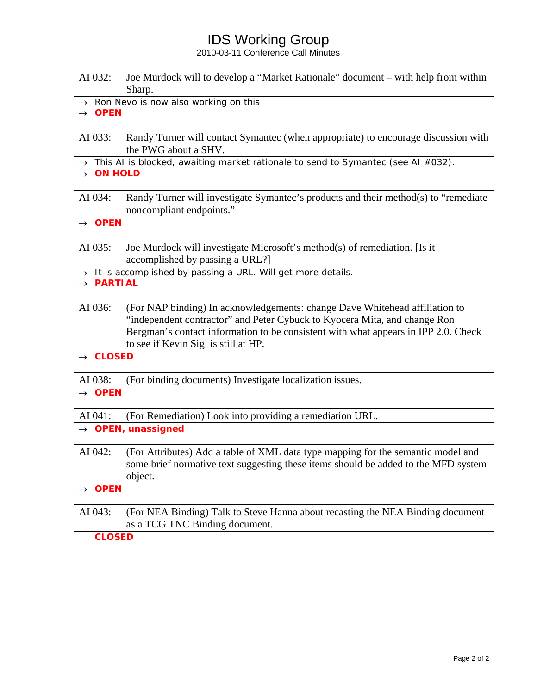# IDS Working Group

2010-03-11 Conference Call Minutes

| AI 032: Joe Murdock will to develop a "Market Rationale" document – with help from within |
|-------------------------------------------------------------------------------------------|
| Sharp.                                                                                    |

→ *Ron Nevo is now also working on this*

→ *OPEN* 

AI 033: Randy Turner will contact Symantec (when appropriate) to encourage discussion with the PWG about a SHV.

→ *This AI is blocked, awaiting market rationale to send to Symantec (see AI #032).*

→ *ON HOLD* 

AI 034: Randy Turner will investigate Symantec's products and their method(s) to "remediate noncompliant endpoints."

→ *OPEN* 

AI 035: Joe Murdock will investigate Microsoft's method(s) of remediation. [Is it accomplished by passing a URL?]

→ *It is accomplished by passing a URL. Will get more details.*

→ *PARTIAL* 

AI 036: (For NAP binding) In acknowledgements: change Dave Whitehead affiliation to "independent contractor" and Peter Cybuck to Kyocera Mita, and change Ron Bergman's contact information to be consistent with what appears in IPP 2.0. Check to see if Kevin Sigl is still at HP.

→ *CLOSED* 

AI 038: (For binding documents) Investigate localization issues.

#### → *OPEN*

AI 041: (For Remediation) Look into providing a remediation URL.

- → *OPEN, unassigned*
- AI 042: (For Attributes) Add a table of XML data type mapping for the semantic model and some brief normative text suggesting these items should be added to the MFD system object.
- → *OPEN*
- AI 043: (For NEA Binding) Talk to Steve Hanna about recasting the NEA Binding document as a TCG TNC Binding document.

*CLOSED*